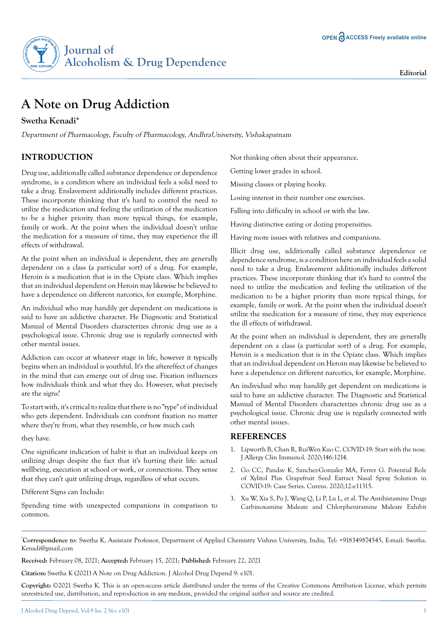

# **A Note on Drug Addiction**

### **Swetha Kenadi\***

Department of Pharmacology, Faculty of Pharmacology, AndhraUniversity, Vishakapatnam

## **INTRODUCTION**

Drug use, additionally called substance dependence or dependence syndrome, is a condition where an individual feels a solid need to take a drug. Enslavement additionally includes different practices. These incorporate thinking that it's hard to control the need to utilize the medication and feeling the utilization of the medication to be a higher priority than more typical things, for example, family or work. At the point when the individual doesn't utilize the medication for a measure of time, they may experience the ill effects of withdrawal.

At the point when an individual is dependent, they are generally dependent on a class (a particular sort) of a drug. For example, Heroin is a medication that is in the Opiate class. Which implies that an individual dependent on Heroin may likewise be believed to have a dependence on different narcotics, for example, Morphine.

An individual who may handily get dependent on medications is said to have an addictive character. He Diagnostic and Statistical Manual of Mental Disorders characterizes chronic drug use as a psychological issue. Chronic drug use is regularly connected with other mental issues.

Addiction can occur at whatever stage in life, however it typically begins when an individual is youthful. It's the aftereffect of changes in the mind that can emerge out of drug use. Fixation influences how individuals think and what they do. However, what precisely are the signs?

To start with, it's critical to realize that there is no "type" of individual who gets dependent. Individuals can confront fixation no matter where they're from, what they resemble, or how much cash

they have.

One significant indication of habit is that an individual keeps on utilizing drugs despite the fact that it's hurting their life: actual wellbeing, execution at school or work, or connections. They sense that they can't quit utilizing drugs, regardless of what occurs.

Different Signs can Include:

Spending time with unexpected companions in comparison to common.

Not thinking often about their appearance.

Getting lower grades in school.

Missing classes or playing hooky.

Losing interest in their number one exercises.

Falling into difficulty in school or with the law.

Having distinctive eating or dozing propensities.

Having more issues with relatives and companions.

Illicit drug use, additionally called substance dependence or dependence syndrome, is a condition here an individual feels a solid need to take a drug. Enslavement additionally includes different practices. These incorporate thinking that it's hard to control the need to utilize the medication and feeling the utilization of the medication to be a higher priority than more typical things, for example, family or work. At the point when the individual doesn't utilize the medication for a measure of time, they may experience the ill effects of withdrawal.

At the point when an individual is dependent, they are generally dependent on a class (a particular sort) of a drug. For example, Heroin is a medication that is in the Opiate class. Which implies that an individual dependent on Heroin may likewise be believed to have a dependence on different narcotics, for example, Morphine.

An individual who may handily get dependent on medications is said to have an addictive character. The Diagnostic and Statistical Manual of Mental Disorders characterizes chronic drug use as a psychological issue. Chronic drug use is regularly connected with other mental issues.

#### **REFERENCES**

- 1. Lipworth B, Chan R, RuiWen Kuo C. COVID-19: Start with the nose. J Allergy Clin Immunol. 2020;146:1214.
- 2. Go CC, Pandav K, Sanchez-Gonzalez MA, Ferrer G. Potential Role of Xylitol Plus Grapefruit Seed Extract Nasal Spray Solution in COVID-19: Case Series. Cureus. 2020;12:e11315.
- 3. Xu W, Xia S, Pu J, Wang Q, Li P, Lu L, et al. The Antihistamine Drugs Carbinoxamine Maleate and Chlorpheniramine Maleate Exhibit

**\* Correspondence to**: Swetha K, Assistant Professor, Department of Applied Chemistry Vishnu University, India, Tel: +918349874545, E-mail: Swetha. Kenadi@gmail.com

**Received:** February 08, 2021; **Accepted:** February 15, 2021; **Published:** February 22, 2021

**Citation:** Swetha K (2021) A Note on Drug Addiction. J Alcohol Drug Depend 9: e101.

**Copyright:** ©2021 Swetha K. This is an open-access article distributed under the terms of the Creative Commons Attribution License, which permits unrestricted use, distribution, and reproduction in any medium, provided the original author and source are credited.